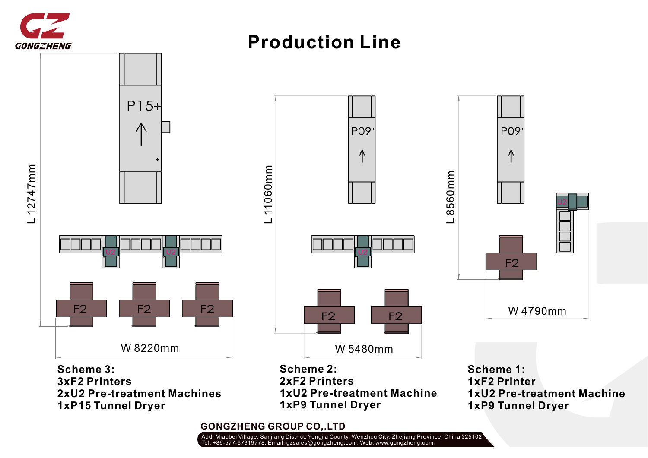

#### **Production Line** $P15+$ P09 **PO9** ⋀  $\mathsf E$ Ξ  $\mathsf E$  $\mathsf E$ Ξ  $\mathsf E$  $\check{ }$  $\circ$ 4  $\circ$ ဖ  $\overline{\phantom{1}}$ L 110 ဖ ഥ  $\boldsymbol{\sim}$  $\overline{\phantom{0}}$  $\overline{\phantom{0}}$  $F<sub>2</sub>$  $F<sub>2</sub>$  $F<sub>2</sub>$  $F<sub>2</sub>$ W 4790mm  $F<sub>2</sub>$  $F<sub>2</sub>$ W 8220mm W 5480mm

**Scheme 3: 3xF2 Printers 2xU2 Pre-treatment Machines 1xP15 Tunnel Dryer**

**Scheme 2: 2xF2 Printers 1xU2 Pre-treatment Machine 1xP9 Tunnel Dryer**

**Scheme 1: 1xF2 Printer 1xU2 Pre-treatment Machine 1xP9 Tunnel Dryer**

**GONGZHENG GROUP CO,.LTD**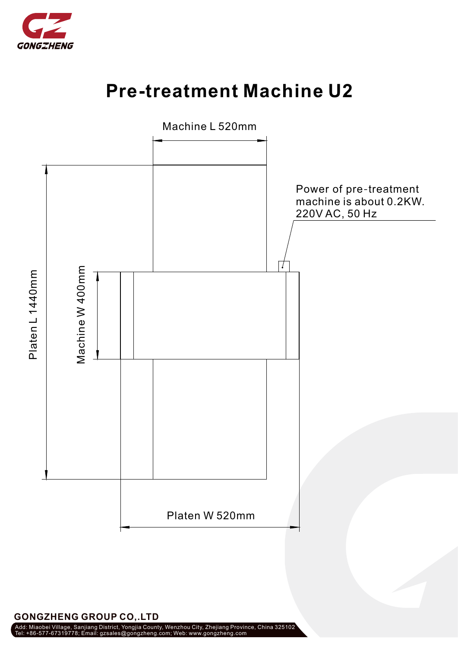

## **Pre-treatment Machine U2**



**GONGZHENG GROUP CO,.LTD**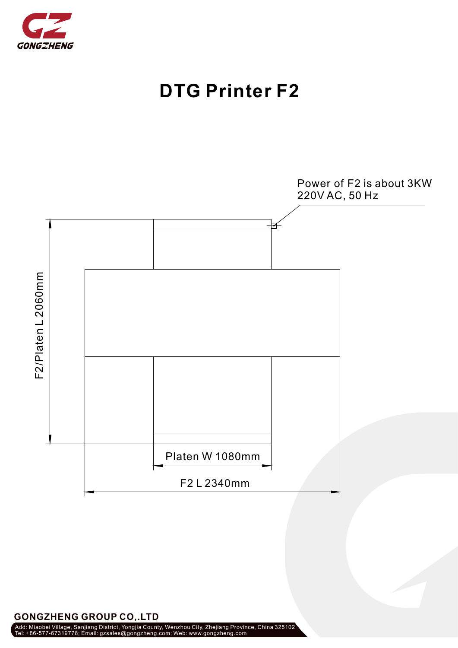

## **DTG Printer F2**



### **GONGZHENG GROUP CO,.LTD**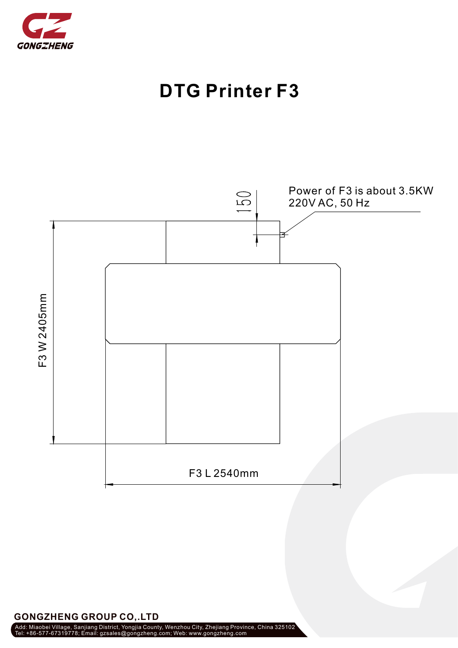





**GONGZHENG GROUP CO,.LTD**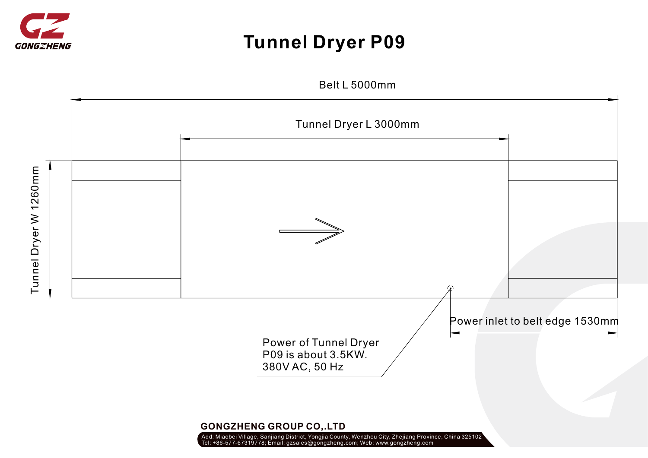

# **Tunnel Dryer P09**

Belt L 5000mm